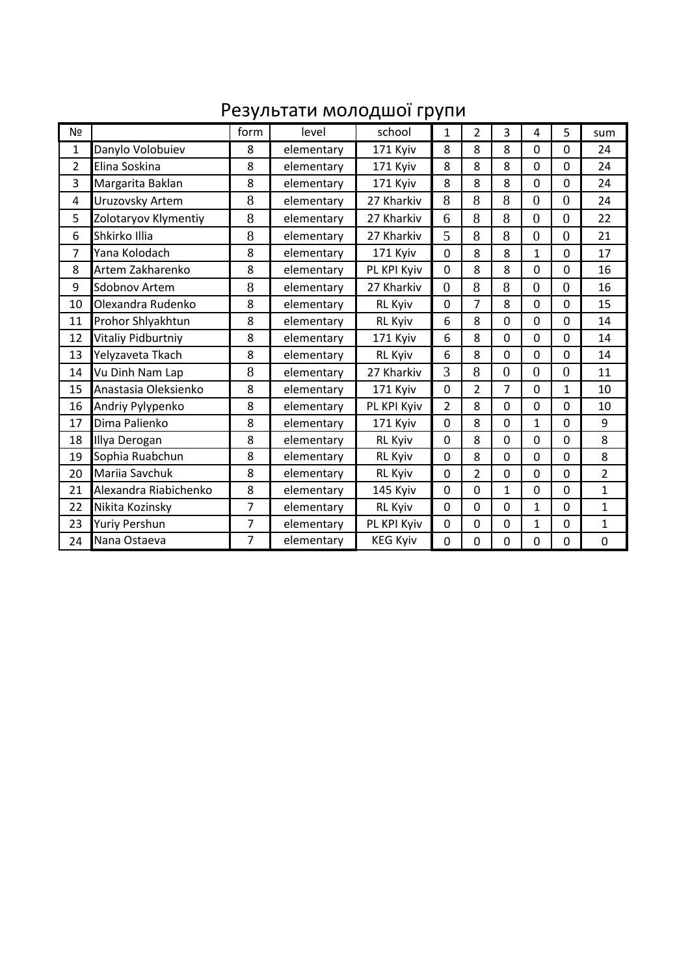## Результати молодшої групи

| N <sub>2</sub> |                       | form           | level      | school          | 1              | 2              | 3              | 4              | 5              | sum              |
|----------------|-----------------------|----------------|------------|-----------------|----------------|----------------|----------------|----------------|----------------|------------------|
| 1              | Danylo Volobuiev      | 8              | elementary | 171 Kyiv        | 8              | 8              | 8              | $\mathbf 0$    | $\Omega$       | 24               |
| 2              | Elina Soskina         | 8              | elementary | 171 Kyiv        | 8              | 8              | 8              | $\Omega$       | $\Omega$       | 24               |
| 3              | Margarita Baklan      | 8              | elementary | 171 Kyiv        | 8              | 8              | 8              | $\mathbf 0$    | $\mathbf 0$    | 24               |
| $\overline{4}$ | Uruzovsky Artem       | 8              | elementary | 27 Kharkiv      | 8              | 8              | 8              | $\overline{0}$ | $\overline{0}$ | 24               |
| 5              | Zolotaryov Klymentiy  | 8              | elementary | 27 Kharkiv      | 6              | 8              | 8              | $\overline{0}$ | $\overline{0}$ | 22               |
| 6              | Shkirko Illia         | 8              | elementary | 27 Kharkiv      | 5              | 8              | 8              | $\overline{0}$ | $\overline{0}$ | 21               |
| 7              | Yana Kolodach         | 8              | elementary | 171 Kyiv        | $\overline{0}$ | 8              | 8              | 1              | $\mathbf 0$    | 17               |
| 8              | Artem Zakharenko      | 8              | elementary | PL KPI Kyiv     | $\mathbf 0$    | 8              | 8              | $\mathbf 0$    | $\overline{0}$ | 16               |
| 9              | <b>Sdobnov Artem</b>  | 8              | elementary | 27 Kharkiv      | $\overline{0}$ | 8              | 8              | $\overline{0}$ | $\overline{0}$ | 16               |
| 10             | Olexandra Rudenko     | 8              | elementary | <b>RL Kyiv</b>  | $\mathbf 0$    | $\overline{7}$ | 8              | $\mathbf 0$    | $\mathbf 0$    | 15               |
| 11             | Prohor Shlyakhtun     | 8              | elementary | <b>RL Kyiv</b>  | 6              | 8              | $\mathbf 0$    | $\mathbf 0$    | $\mathbf 0$    | 14               |
| 12             | Vitaliy Pidburtniy    | 8              | elementary | 171 Kyiv        | 6              | 8              | $\mathbf 0$    | $\mathbf 0$    | $\mathbf 0$    | 14               |
| 13             | Yelyzaveta Tkach      | 8              | elementary | <b>RL Kyiv</b>  | 6              | 8              | $\mathbf 0$    | $\mathbf 0$    | $\mathbf 0$    | 14               |
| 14             | Vu Dinh Nam Lap       | 8              | elementary | 27 Kharkiv      | 3              | 8              | $\overline{0}$ | $\overline{0}$ | $\overline{0}$ | 11               |
| 15             | Anastasia Oleksienko  | 8              | elementary | 171 Kyiv        | $\mathbf 0$    | $\overline{2}$ | $\overline{7}$ | $\Omega$       | $\mathbf{1}$   | 10               |
| 16             | Andriy Pylypenko      | 8              | elementary | PL KPI Kyiv     | $\overline{2}$ | 8              | $\mathbf 0$    | $\mathbf 0$    | $\mathbf 0$    | 10               |
| 17             | Dima Palienko         | 8              | elementary | 171 Kyiv        | $\mathbf 0$    | 8              | 0              | $\mathbf{1}$   | $\mathbf 0$    | 9                |
| 18             | Illya Derogan         | 8              | elementary | <b>RL Kyiv</b>  | $\mathbf 0$    | 8              | 0              | $\mathbf 0$    | $\mathbf 0$    | 8                |
| 19             | Sophia Ruabchun       | 8              | elementary | <b>RL Kyiv</b>  | $\mathbf 0$    | 8              | 0              | $\mathbf 0$    | $\mathbf 0$    | 8                |
| 20             | Mariia Savchuk        | 8              | elementary | <b>RL Kyiv</b>  | $\mathbf 0$    | $\overline{2}$ | 0              | $\mathbf 0$    | $\mathbf 0$    | $\overline{2}$   |
| 21             | Alexandra Riabichenko | 8              | elementary | 145 Kyiv        | $\mathbf 0$    | 0              | 1              | $\mathbf 0$    | $\Omega$       | $\mathbf{1}$     |
| 22             | Nikita Kozinsky       | $\overline{7}$ | elementary | <b>RL Kyiv</b>  | 0              | 0              | 0              | 1              | $\mathbf 0$    | $\mathbf{1}$     |
| 23             | <b>Yuriy Pershun</b>  | 7              | elementary | PL KPI Kyiv     | $\mathbf 0$    | 0              | 0              | 1              | $\mathbf 0$    | $\mathbf{1}$     |
| 24             | Nana Ostaeva          | 7              | elementary | <b>KEG Kyiv</b> | 0              | 0              | 0              | $\Omega$       | $\Omega$       | $\boldsymbol{0}$ |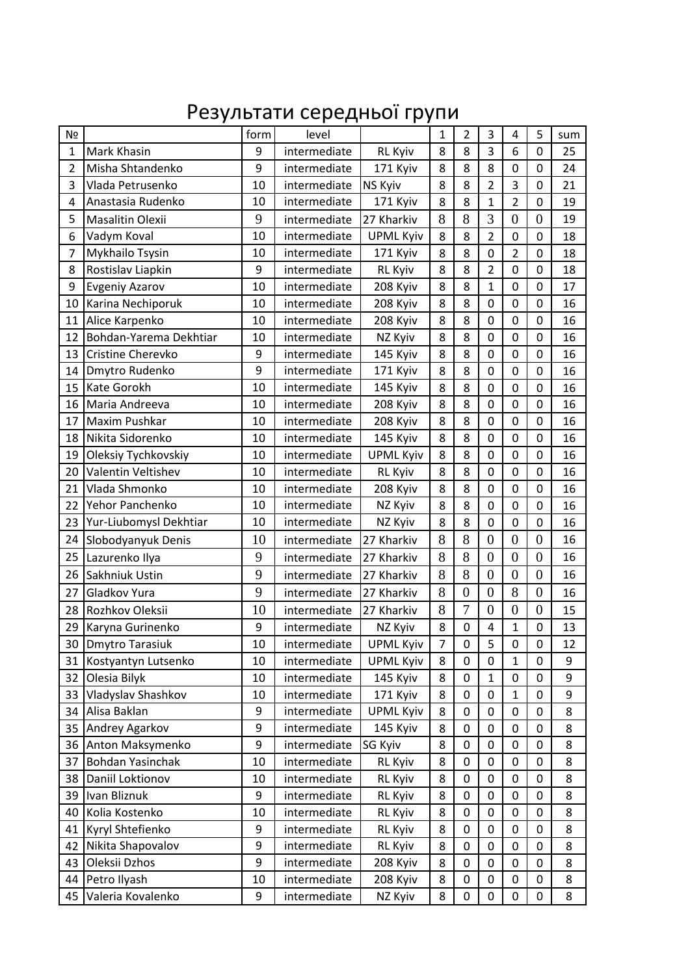## Результати середньої групи

| N <sub>2</sub> |                        | form | level        |                  | $\mathbf{1}$   | $\overline{2}$   | 3              | 4                | 5                | sum |
|----------------|------------------------|------|--------------|------------------|----------------|------------------|----------------|------------------|------------------|-----|
| $\mathbf{1}$   | Mark Khasin            | 9    | intermediate | <b>RL Kyiv</b>   | 8              | 8                | 3              | 6                | $\mathbf 0$      | 25  |
| $\overline{2}$ | Misha Shtandenko       | 9    | intermediate | 171 Kyiv         | 8              | 8                | 8              | $\mathbf 0$      | $\mathbf 0$      | 24  |
| 3              | Vlada Petrusenko       | 10   | intermediate | <b>NS Kyiv</b>   | 8              | 8                | $\overline{2}$ | 3                | $\mathbf 0$      | 21  |
| 4              | Anastasia Rudenko      | 10   | intermediate | 171 Kyiv         | 8              | 8                | $\mathbf{1}$   | 2                | 0                | 19  |
| 5              | Masalitin Olexii       | 9    | intermediate | 27 Kharkiv       | 8              | 8                | 3              | $\overline{0}$   | $\overline{0}$   | 19  |
| 6              | Vadym Koval            | 10   | intermediate | <b>UPML Kyiv</b> | 8              | 8                | $\overline{2}$ | $\mathbf 0$      | $\mathbf 0$      | 18  |
| 7              | Mykhailo Tsysin        | 10   | intermediate | 171 Kyiv         | 8              | 8                | 0              | $\overline{2}$   | $\mathbf 0$      | 18  |
| 8              | Rostislav Liapkin      | 9    | intermediate | <b>RL Kyiv</b>   | 8              | 8                | $\overline{2}$ | $\mathbf 0$      | $\mathbf 0$      | 18  |
| 9              | <b>Evgeniy Azarov</b>  | 10   | intermediate | 208 Kyiv         | 8              | 8                | $\mathbf{1}$   | $\mathbf 0$      | $\mathbf 0$      | 17  |
| 10             | Karina Nechiporuk      | 10   | intermediate | 208 Kyiv         | 8              | 8                | $\mathbf 0$    | $\mathbf 0$      | $\mathbf 0$      | 16  |
| 11             | Alice Karpenko         | 10   | intermediate | 208 Kyiv         | 8              | 8                | 0              | 0                | $\mathbf 0$      | 16  |
| 12             | Bohdan-Yarema Dekhtiar | 10   | intermediate | NZ Kyiv          | 8              | 8                | $\overline{0}$ | $\overline{0}$   | $\overline{0}$   | 16  |
| 13             | Cristine Cherevko      | 9    | intermediate | 145 Kyiv         | 8              | 8                | 0              | $\mathbf 0$      | $\mathbf 0$      | 16  |
| 14             | Dmytro Rudenko         | 9    | intermediate | 171 Kyiv         | 8              | 8                | $\mathbf 0$    | $\mathbf 0$      | $\mathbf 0$      | 16  |
| 15             | Kate Gorokh            | 10   | intermediate | 145 Kyiv         | 8              | 8                | $\mathbf 0$    | $\mathbf 0$      | 0                | 16  |
| 16             | Maria Andreeva         | 10   | intermediate | 208 Kyiv         | 8              | 8                | $\mathbf 0$    | $\mathbf 0$      | $\boldsymbol{0}$ | 16  |
| 17             | Maxim Pushkar          | 10   | intermediate | 208 Kyiv         | 8              | 8                | 0              | $\mathbf 0$      | $\mathbf 0$      | 16  |
| 18             | Nikita Sidorenko       | 10   | intermediate | 145 Kyiv         | 8              | 8                | 0              | 0                | 0                | 16  |
| 19             | Oleksiy Tychkovskiy    | 10   | intermediate | <b>UPML Kyiv</b> | 8              | 8                | $\mathbf 0$    | $\mathbf 0$      | $\mathbf 0$      | 16  |
| 20             | Valentin Veltishev     | 10   | intermediate | <b>RL Kyiv</b>   | 8              | 8                | 0              | $\mathbf 0$      | 0                | 16  |
| 21             | Vlada Shmonko          | 10   | intermediate | 208 Kyiv         | 8              | 8                | $\mathbf 0$    | $\mathbf 0$      | $\mathbf 0$      | 16  |
| 22             | Yehor Panchenko        | 10   | intermediate | NZ Kyiv          | 8              | 8                | $\mathbf 0$    | $\mathbf 0$      | $\mathbf 0$      | 16  |
| 23             | Yur-Liubomysl Dekhtiar | 10   | intermediate | NZ Kyiv          | 8              | 8                | 0              | $\mathbf 0$      | $\mathbf 0$      | 16  |
| 24             | Slobodyanyuk Denis     | 10   | intermediate | 27 Kharkiv       | 8              | 8                | $\overline{0}$ | $\overline{0}$   | $\overline{0}$   | 16  |
| 25             | Lazurenko Ilya         | 9    | intermediate | 27 Kharkiv       | 8              | 8                | $\overline{0}$ | $\overline{0}$   | $\boldsymbol{0}$ | 16  |
| 26             | Sakhniuk Ustin         | 9    | intermediate | 27 Kharkiv       | 8              | 8                | $\overline{0}$ | $\overline{0}$   | $\overline{0}$   | 16  |
| 27             | Gladkov Yura           | 9    | intermediate | 27 Kharkiv       | 8              | $\overline{0}$   | $\overline{0}$ | 8                | $\overline{0}$   | 16  |
| 28             | Rozhkov Oleksii        | 10   | intermediate | 27 Kharkiv       | 8              | $\overline{7}$   | $\overline{0}$ | $\overline{0}$   | $\overline{0}$   | 15  |
| 29             | Karyna Gurinenko       | 9    | intermediate | NZ Kyiv          | 8              | $\boldsymbol{0}$ | 4              | $\mathbf{1}$     | $\pmb{0}$        | 13  |
| 30             | <b>Dmytro Tarasiuk</b> | 10   | intermediate | UPML Kyiv        | $\overline{7}$ | $\mathbf 0$      | 5              | $\boldsymbol{0}$ | $\boldsymbol{0}$ | 12  |
| 31             | Kostyantyn Lutsenko    | 10   | intermediate | <b>UPML Kyiv</b> | 8              | $\mathbf 0$      | 0              | $\mathbf{1}$     | 0                | 9   |
| 32             | Olesia Bilyk           | 10   | intermediate | 145 Kyiv         | 8              | $\mathbf 0$      | 1              | $\mathbf 0$      | $\mathbf 0$      | 9   |
| 33             | Vladyslav Shashkov     | 10   | intermediate | 171 Kyiv         | 8              | $\mathbf 0$      | 0              | $\mathbf{1}$     | $\mathbf 0$      | 9   |
| 34             | Alisa Baklan           | 9    | intermediate | <b>UPML Kyiv</b> | 8              | $\mathbf 0$      | 0              | $\mathbf 0$      | $\mathbf 0$      | 8   |
| 35             | Andrey Agarkov         | 9    | intermediate | 145 Kyiv         | 8              | 0                | 0              | $\mathbf 0$      | 0                | 8   |
| 36             | Anton Maksymenko       | 9    | intermediate | <b>SG Kyiv</b>   | 8              | 0                | 0              | $\pmb{0}$        | $\boldsymbol{0}$ | 8   |
| 37             | Bohdan Yasinchak       | 10   | intermediate | <b>RL Kyiv</b>   | 8              | $\mathbf 0$      | 0              | $\mathbf 0$      | $\mathbf 0$      | 8   |
| 38             | Daniil Loktionov       | 10   | intermediate | <b>RL Kyiv</b>   | 8              | 0                | 0              | 0                | $\boldsymbol{0}$ | 8   |
| 39             | Ivan Bliznuk           | 9    | intermediate | <b>RL Kyiv</b>   | 8              | $\mathbf 0$      | $\mathbf 0$    | $\mathbf 0$      | $\mathbf 0$      | 8   |
| 40             | Kolia Kostenko         | 10   | intermediate | <b>RL Kyiv</b>   | 8              | 0                | 0              | $\boldsymbol{0}$ | 0                | 8   |
| 41             | Kyryl Shtefienko       | 9    | intermediate | <b>RL Kyiv</b>   | 8              | 0                | 0              | $\pmb{0}$        | $\boldsymbol{0}$ | 8   |
| 42             | Nikita Shapovalov      | 9    | intermediate | <b>RL Kyiv</b>   | 8              | 0                | 0              | $\mathbf 0$      | $\mathbf 0$      | 8   |
| 43             | Oleksii Dzhos          | 9    | intermediate | 208 Kyiv         | 8              | 0                | 0              | $\boldsymbol{0}$ | 0                | 8   |
| 44             | Petro Ilyash           | 10   | intermediate | 208 Kyiv         | 8              | $\mathbf 0$      | $\mathbf 0$    | $\mathbf 0$      | $\mathbf 0$      | 8   |
| 45             | Valeria Kovalenko      | 9    | intermediate | NZ Kyiv          | 8              | 0                | 0              | 0                | $\boldsymbol{0}$ | 8   |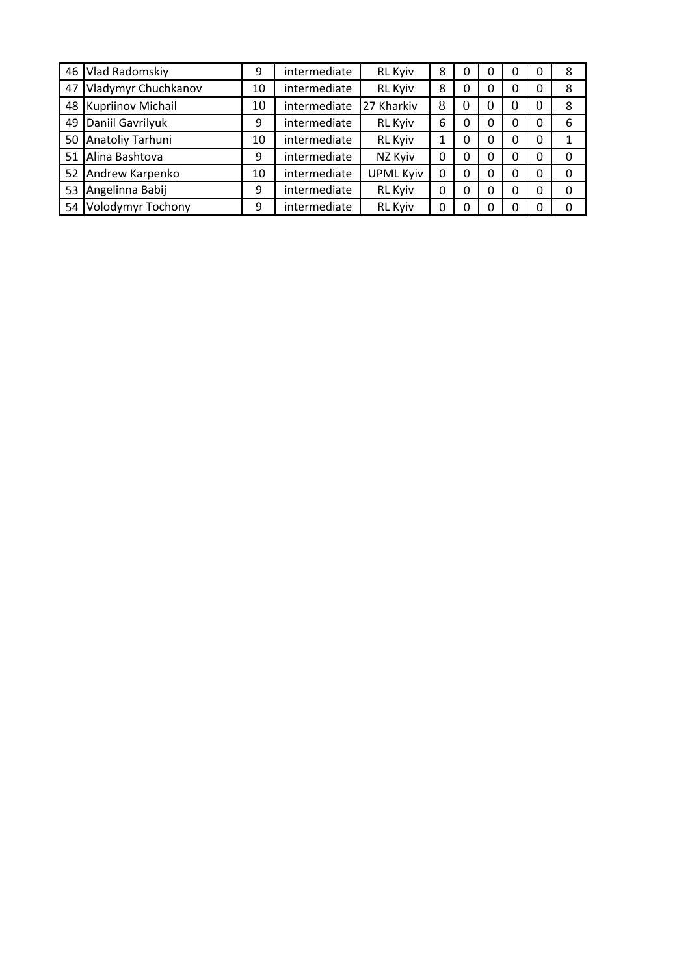| 46 | Vlad Radomskiy      | 9  | intermediate | <b>RL Kyiv</b>   | 8 | 0        |   | 0 | 0        | 8 |
|----|---------------------|----|--------------|------------------|---|----------|---|---|----------|---|
| 47 | Vladymyr Chuchkanov | 10 | intermediate | <b>RL Kyiv</b>   | 8 | 0        |   | 0 | 0        | 8 |
| 48 | Kupriinov Michail   | 10 | intermediate | 27 Kharkiv       | 8 | $\theta$ | O | O | O        | 8 |
| 49 | Daniil Gavrilyuk    | 9  | intermediate | <b>RL Kyiv</b>   | 6 | 0        | 0 | 0 | 0        | 6 |
| 50 | Anatoliy Tarhuni    | 10 | intermediate | <b>RL Kyiv</b>   |   | 0        | 0 | 0 | 0        | 1 |
| 51 | Alina Bashtova      | 9  | intermediate | NZ Kyiv          | 0 | 0        | 0 | 0 | 0        | 0 |
| 52 | Andrew Karpenko     | 10 | intermediate | <b>UPML Kyiv</b> | 0 | 0        | 0 | 0 | 0        | 0 |
| 53 | Angelinna Babij     | 9  | intermediate | <b>RL Kyiv</b>   | 0 | 0        | 0 | 0 | $\Omega$ | 0 |
| 54 | Volodymyr Tochony   | 9  | intermediate | <b>RL Kyiv</b>   | 0 |          |   | 0 | 0        | 0 |